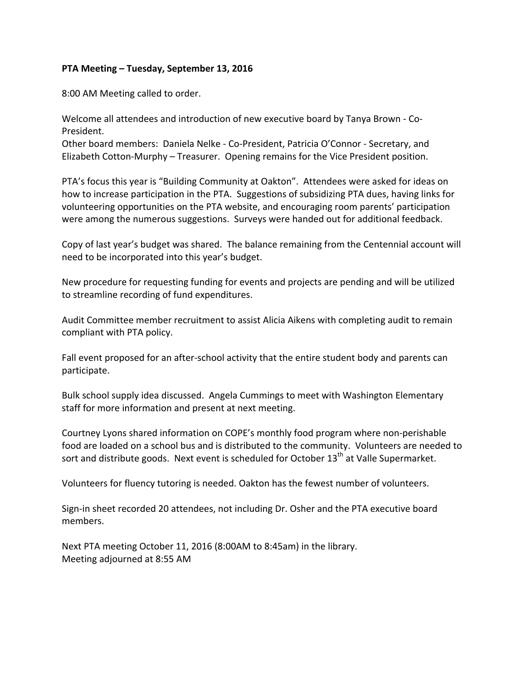## **PTA Meeting – Tuesday, September 13, 2016**

8:00 AM Meeting called to order.

Welcome all attendees and introduction of new executive board by Tanya Brown - Co-President.

Other board members: Daniela Nelke - Co-President, Patricia O'Connor - Secretary, and Elizabeth Cotton-Murphy – Treasurer. Opening remains for the Vice President position.

PTA's focus this year is "Building Community at Oakton". Attendees were asked for ideas on how to increase participation in the PTA. Suggestions of subsidizing PTA dues, having links for volunteering opportunities on the PTA website, and encouraging room parents' participation were among the numerous suggestions. Surveys were handed out for additional feedback.

Copy of last year's budget was shared. The balance remaining from the Centennial account will need to be incorporated into this year's budget.

New procedure for requesting funding for events and projects are pending and will be utilized to streamline recording of fund expenditures.

Audit Committee member recruitment to assist Alicia Aikens with completing audit to remain compliant with PTA policy.

Fall event proposed for an after-school activity that the entire student body and parents can participate. 

Bulk school supply idea discussed. Angela Cummings to meet with Washington Elementary staff for more information and present at next meeting.

Courtney Lyons shared information on COPE's monthly food program where non-perishable food are loaded on a school bus and is distributed to the community. Volunteers are needed to sort and distribute goods. Next event is scheduled for October  $13<sup>th</sup>$  at Valle Supermarket.

Volunteers for fluency tutoring is needed. Oakton has the fewest number of volunteers.

Sign-in sheet recorded 20 attendees, not including Dr. Osher and the PTA executive board members.

Next PTA meeting October 11, 2016 (8:00AM to 8:45am) in the library. Meeting adjourned at 8:55 AM